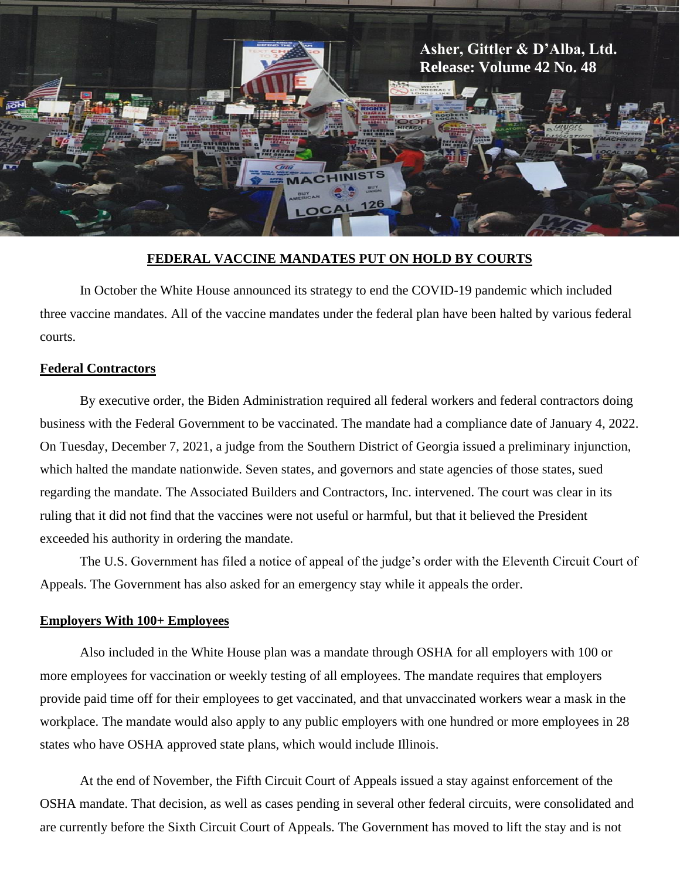

# **FEDERAL VACCINE MANDATES PUT ON HOLD BY COURTS**

In October the White House announced its strategy to end the COVID-19 pandemic which included three vaccine mandates. All of the vaccine mandates under the federal plan have been halted by various federal courts.

#### **Federal Contractors**

By executive order, the Biden Administration required all federal workers and federal contractors doing business with the Federal Government to be vaccinated. The mandate had a compliance date of January 4, 2022. On Tuesday, December 7, 2021, a judge from the Southern District of Georgia issued a preliminary injunction, which halted the mandate nationwide. Seven states, and governors and state agencies of those states, sued regarding the mandate. The Associated Builders and Contractors, Inc. intervened. The court was clear in its ruling that it did not find that the vaccines were not useful or harmful, but that it believed the President exceeded his authority in ordering the mandate.

The U.S. Government has filed a notice of appeal of the judge's order with the Eleventh Circuit Court of Appeals. The Government has also asked for an emergency stay while it appeals the order.

#### **Employers With 100+ Employees**

Also included in the White House plan was a mandate through OSHA for all employers with 100 or more employees for vaccination or weekly testing of all employees. The mandate requires that employers provide paid time off for their employees to get vaccinated, and that unvaccinated workers wear a mask in the workplace. The mandate would also apply to any public employers with one hundred or more employees in 28 states who have OSHA approved state plans, which would include Illinois.

At the end of November, the Fifth Circuit Court of Appeals issued a stay against enforcement of the OSHA mandate. That decision, as well as cases pending in several other federal circuits, were consolidated and are currently before the Sixth Circuit Court of Appeals. The Government has moved to lift the stay and is not